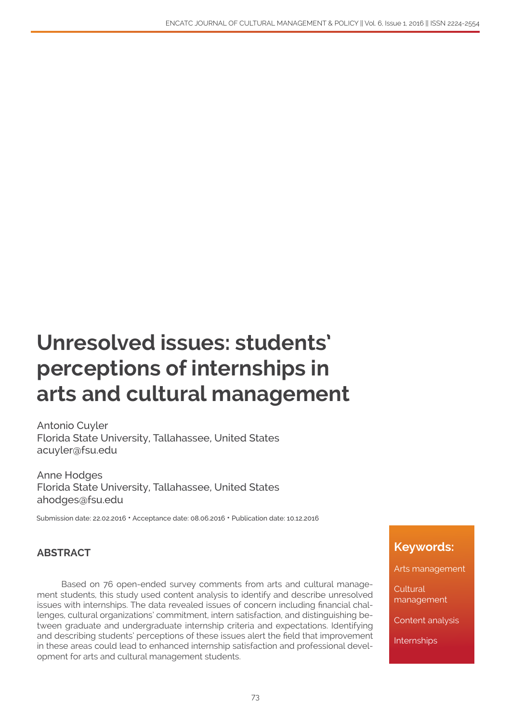# **Unresolved issues: students' perceptions of internships in arts and cultural management**

Antonio Cuyler Florida State University, Tallahassee, United States acuyler@fsu.edu

Anne Hodges Florida State University, Tallahassee, United States ahodges@fsu.edu

Submission date: 22.02.2016 • Acceptance date: 08.06.2016 • Publication date: 10.12.2016

# **ABSTRACT**

Based on 76 open-ended survey comments from arts and cultural management students, this study used content analysis to identify and describe unresolved issues with internships. The data revealed issues of concern including financial challenges, cultural organizations' commitment, intern satisfaction, and distinguishing between graduate and undergraduate internship criteria and expectations. Identifying and describing students' perceptions of these issues alert the field that improvement in these areas could lead to enhanced internship satisfaction and professional development for arts and cultural management students.

# **Keywords:**

Arts management

Cultural management

Content analysis

Internships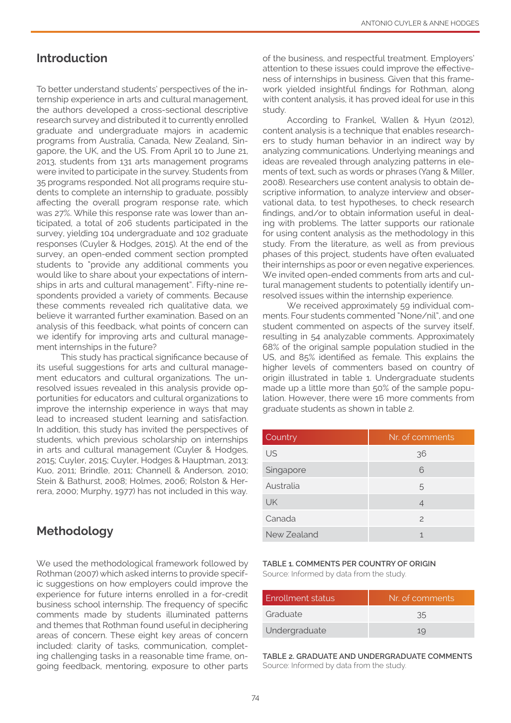# **Introduction**

To better understand students' perspectives of the internship experience in arts and cultural management, the authors developed a cross-sectional descriptive research survey and distributed it to currently enrolled graduate and undergraduate majors in academic programs from Australia, Canada, New Zealand, Singapore, the UK, and the US. From April 10 to June 21, 2013, students from 131 arts management programs were invited to participate in the survey. Students from 35 programs responded. Not all programs require students to complete an internship to graduate, possibly affecting the overall program response rate, which was 27%. While this response rate was lower than anticipated, a total of 206 students participated in the survey, yielding 104 undergraduate and 102 graduate responses (Cuyler & Hodges, 2015). At the end of the survey, an open-ended comment section prompted students to "provide any additional comments you would like to share about your expectations of internships in arts and cultural management". Fifty-nine respondents provided a variety of comments. Because these comments revealed rich qualitative data, we believe it warranted further examination. Based on an analysis of this feedback, what points of concern can we identify for improving arts and cultural management internships in the future?

This study has practical significance because of its useful suggestions for arts and cultural management educators and cultural organizations. The unresolved issues revealed in this analysis provide opportunities for educators and cultural organizations to improve the internship experience in ways that may lead to increased student learning and satisfaction. In addition, this study has invited the perspectives of students, which previous scholarship on internships in arts and cultural management (Cuyler & Hodges, 2015; Cuyler, 2015; Cuyler, Hodges & Hauptman, 2013; Kuo, 2011; Brindle, 2011; Channell & Anderson, 2010; Stein & Bathurst, 2008; Holmes, 2006; Rolston & Herrera, 2000; Murphy, 1977) has not included in this way.

# **Methodology**

We used the methodological framework followed by Rothman (2007) which asked interns to provide specific suggestions on how employers could improve the experience for future interns enrolled in a for-credit business school internship. The frequency of specific comments made by students illuminated patterns and themes that Rothman found useful in deciphering areas of concern. These eight key areas of concern included: clarity of tasks, communication, completing challenging tasks in a reasonable time frame, ongoing feedback, mentoring, exposure to other parts of the business, and respectful treatment. Employers' attention to these issues could improve the effectiveness of internships in business. Given that this framework yielded insightful findings for Rothman, along with content analysis, it has proved ideal for use in this study.

According to Frankel, Wallen & Hyun (2012), content analysis is a technique that enables researchers to study human behavior in an indirect way by analyzing communications. Underlying meanings and ideas are revealed through analyzing patterns in elements of text, such as words or phrases (Yang & Miller, 2008). Researchers use content analysis to obtain descriptive information, to analyze interview and observational data, to test hypotheses, to check research findings, and/or to obtain information useful in dealing with problems. The latter supports our rationale for using content analysis as the methodology in this study. From the literature, as well as from previous phases of this project, students have often evaluated their internships as poor or even negative experiences. We invited open-ended comments from arts and cultural management students to potentially identify unresolved issues within the internship experience.

We received approximately 59 individual comments. Four students commented "None/nil", and one student commented on aspects of the survey itself, resulting in 54 analyzable comments. Approximately 68% of the original sample population studied in the US, and 85% identified as female. This explains the higher levels of commenters based on country of origin illustrated in table 1. Undergraduate students made up a little more than 50% of the sample population. However, there were 16 more comments from graduate students as shown in table 2.

| Country     | Nr. of comments |  |  |
|-------------|-----------------|--|--|
| US          | 36              |  |  |
| Singapore   | 6               |  |  |
| Australia   | 5               |  |  |
| <b>UK</b>   |                 |  |  |
| Canada      | $\mathcal{P}$   |  |  |
| New Zealand | 1               |  |  |

**TABLE 1. COMMENTS PER COUNTRY OF ORIGIN** Source: Informed by data from the study.

| Enrollment status | Nr. of comments |  |  |
|-------------------|-----------------|--|--|
| Graduate          | 35              |  |  |
| Undergraduate     | 10              |  |  |

**TABLE 2. GRADUATE AND UNDERGRADUATE COMMENTS**  Source: Informed by data from the study.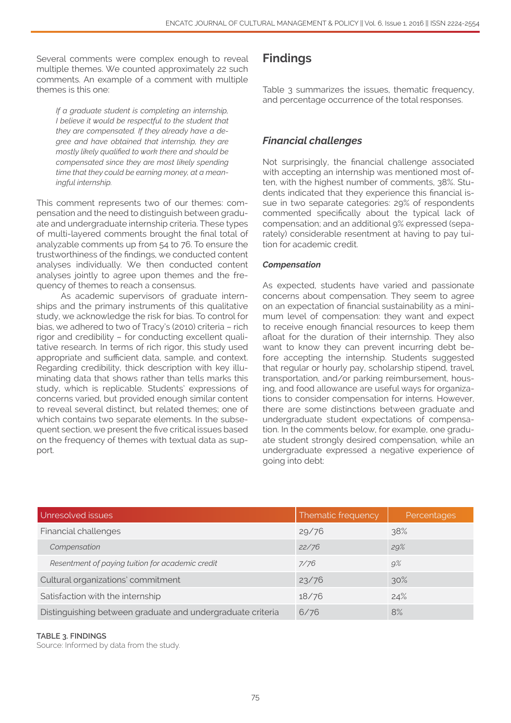Several comments were complex enough to reveal multiple themes. We counted approximately 22 such comments. An example of a comment with multiple themes is this one:

*If a graduate student is completing an internship, I believe it would be respectful to the student that they are compensated. If they already have a degree and have obtained that internship, they are mostly likely qualified to work there and should be compensated since they are most likely spending time that they could be earning money, at a meaningful internship.* 

This comment represents two of our themes: compensation and the need to distinguish between graduate and undergraduate internship criteria. These types of multi-layered comments brought the final total of analyzable comments up from 54 to 76. To ensure the trustworthiness of the findings, we conducted content analyses individually. We then conducted content analyses jointly to agree upon themes and the frequency of themes to reach a consensus.

As academic supervisors of graduate internships and the primary instruments of this qualitative study, we acknowledge the risk for bias. To control for bias, we adhered to two of Tracy's (2010) criteria – rich rigor and credibility – for conducting excellent qualitative research. In terms of rich rigor, this study used appropriate and sufficient data, sample, and context. Regarding credibility, thick description with key illuminating data that shows rather than tells marks this study, which is replicable. Students' expressions of concerns varied, but provided enough similar content to reveal several distinct, but related themes; one of which contains two separate elements. In the subsequent section, we present the five critical issues based on the frequency of themes with textual data as support.

# **Findings**

Table 3 summarizes the issues, thematic frequency, and percentage occurrence of the total responses.

# *Financial challenges*

Not surprisingly, the financial challenge associated with accepting an internship was mentioned most often, with the highest number of comments, 38%. Students indicated that they experience this financial issue in two separate categories: 29% of respondents commented specifically about the typical lack of compensation; and an additional 9% expressed (separately) considerable resentment at having to pay tuition for academic credit.

### *Compensation*

As expected, students have varied and passionate concerns about compensation. They seem to agree on an expectation of financial sustainability as a minimum level of compensation: they want and expect to receive enough financial resources to keep them afloat for the duration of their internship. They also want to know they can prevent incurring debt before accepting the internship. Students suggested that regular or hourly pay, scholarship stipend, travel, transportation, and/or parking reimbursement, housing, and food allowance are useful ways for organizations to consider compensation for interns. However, there are some distinctions between graduate and undergraduate student expectations of compensation. In the comments below, for example, one graduate student strongly desired compensation, while an undergraduate expressed a negative experience of going into debt:

| Unresolved issues                                          | Thematic frequency | Percentages |
|------------------------------------------------------------|--------------------|-------------|
| Financial challenges                                       | 29/76              | 38%         |
| Compensation                                               | 22/76              | 29%         |
| Resentment of paying tuition for academic credit           | 7/76               | 9%          |
| Cultural organizations' commitment                         | 23/76              | 30%         |
| Satisfaction with the internship                           | 18/76              | 24%         |
| Distinguishing between graduate and undergraduate criteria | 6/76               | 8%          |

#### **TABLE 3. FINDINGS**

Source: Informed by data from the study.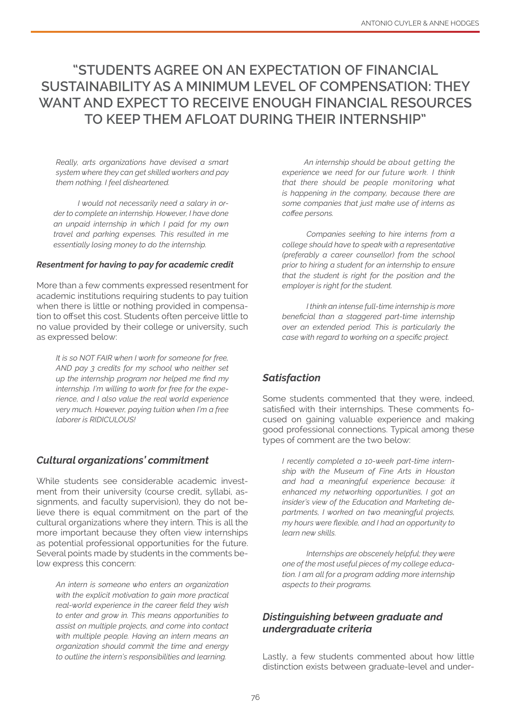# **"STUDENTS AGREE ON AN EXPECTATION OF FINANCIAL SUSTAINABILITY AS A MINIMUM LEVEL OF COMPENSATION: THEY WANT AND EXPECT TO RECEIVE ENOUGH FINANCIAL RESOURCES TO KEEP THEM AFLOAT DURING THEIR INTERNSHIP"**

*Really, arts organizations have devised a smart system where they can get skilled workers and pay them nothing. I feel disheartened.*

*I would not necessarily need a salary in order to complete an internship. However, I have done an unpaid internship in which I paid for my own travel and parking expenses. This resulted in me essentially losing money to do the internship.*

#### *Resentment for having to pay for academic credit*

More than a few comments expressed resentment for academic institutions requiring students to pay tuition when there is little or nothing provided in compensation to offset this cost. Students often perceive little to no value provided by their college or university, such as expressed below:

*It is so NOT FAIR when I work for someone for free, AND pay 3 credits for my school who neither set up the internship program nor helped me find my internship. I'm willing to work for free for the experience, and I also value the real world experience very much. However, paying tuition when I'm a free laborer is RIDICULOUS!* 

# *Cultural organizations' commitment*

While students see considerable academic investment from their university (course credit, syllabi, assignments, and faculty supervision), they do not believe there is equal commitment on the part of the cultural organizations where they intern. This is all the more important because they often view internships as potential professional opportunities for the future. Several points made by students in the comments below express this concern:

*An intern is someone who enters an organization with the explicit motivation to gain more practical real-world experience in the career field they wish to enter and grow in. This means opportunities to assist on multiple projects, and come into contact with multiple people. Having an intern means an organization should commit the time and energy to outline the intern's responsibilities and learning.*

*An internship should be about getting the experience we need for our future work. I think that there should be people monitoring what is happening in the company, because there are some companies that just make use of interns as coffee persons.*

*Companies seeking to hire interns from a college should have to speak with a representative (preferably a career counsellor) from the school prior to hiring a student for an internship to ensure that the student is right for the position and the employer is right for the student.*

*I think an intense full-time internship is more beneficial than a staggered part-time internship over an extended period. This is particularly the case with regard to working on a specific project.*

# *Satisfaction*

Some students commented that they were, indeed, satisfied with their internships. These comments focused on gaining valuable experience and making good professional connections. Typical among these types of comment are the two below:

*I recently completed a 10-week part-time internship with the Museum of Fine Arts in Houston and had a meaningful experience because: it enhanced my networking opportunities, I got an insider's view of the Education and Marketing departments, I worked on two meaningful projects, my hours were flexible, and I had an opportunity to learn new skills.*

*Internships are obscenely helpful; they were one of the most useful pieces of my college education. I am all for a program adding more internship aspects to their programs.*

# *Distinguishing between graduate and undergraduate criteria*

Lastly, a few students commented about how little distinction exists between graduate-level and under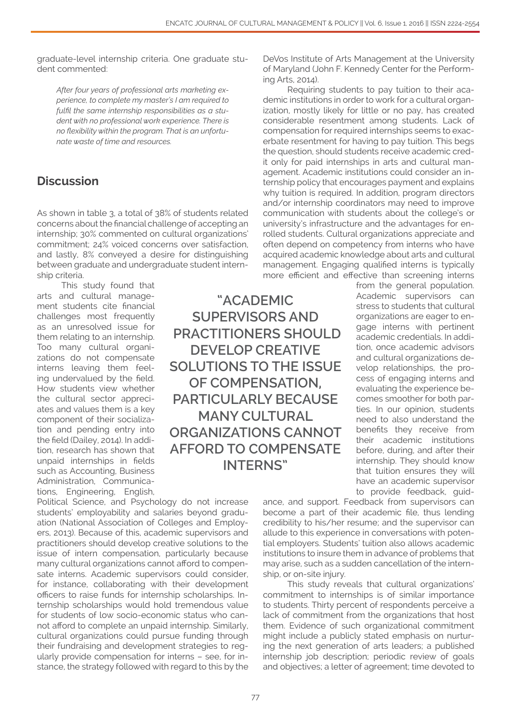graduate-level internship criteria. One graduate student commented:

*After four years of professional arts marketing experience, to complete my master's I am required to fulfil the same internship responsibilities as a student with no professional work experience. There is no flexibility within the program. That is an unfortunate waste of time and resources.* 

# **Discussion**

As shown in table 3, a total of 38% of students related concerns about the financial challenge of accepting an internship; 30% commented on cultural organizations' commitment; 24% voiced concerns over satisfaction, and lastly, 8% conveyed a desire for distinguishing between graduate and undergraduate student internship criteria.

This study found that arts and cultural management students cite financial challenges most frequently as an unresolved issue for them relating to an internship. Too many cultural organizations do not compensate interns leaving them feeling undervalued by the field. How students view whether the cultural sector appreciates and values them is a key component of their socialization and pending entry into the field (Dailey, 2014). In addition, research has shown that unpaid internships in fields such as Accounting, Business Administration, Communications, Engineering, English,

**"ACADEMIC SUPERVISORS AND PRACTITIONERS SHOULD DEVELOP CREATIVE SOLUTIONS TO THE ISSUE OF COMPENSATION, PARTICULARLY BECAUSE MANY CULTURAL ORGANIZATIONS CANNOT AFFORD TO COMPENSATE INTERNS"**

Political Science, and Psychology do not increase students' employability and salaries beyond graduation (National Association of Colleges and Employers, 2013). Because of this, academic supervisors and practitioners should develop creative solutions to the issue of intern compensation, particularly because many cultural organizations cannot afford to compensate interns. Academic supervisors could consider, for instance, collaborating with their development officers to raise funds for internship scholarships. Internship scholarships would hold tremendous value for students of low socio-economic status who cannot afford to complete an unpaid internship. Similarly, cultural organizations could pursue funding through their fundraising and development strategies to regularly provide compensation for interns – see, for instance, the strategy followed with regard to this by the

DeVos Institute of Arts Management at the University of Maryland (John F. Kennedy Center for the Performing Arts, 2014).

Requiring students to pay tuition to their academic institutions in order to work for a cultural organization, mostly likely for little or no pay, has created considerable resentment among students. Lack of compensation for required internships seems to exacerbate resentment for having to pay tuition. This begs the question, should students receive academic credit only for paid internships in arts and cultural management. Academic institutions could consider an internship policy that encourages payment and explains why tuition is required. In addition, program directors and/or internship coordinators may need to improve communication with students about the college's or university's infrastructure and the advantages for enrolled students. Cultural organizations appreciate and often depend on competency from interns who have acquired academic knowledge about arts and cultural management. Engaging qualified interns is typically more efficient and effective than screening interns

> from the general population. Academic supervisors can stress to students that cultural organizations are eager to engage interns with pertinent academic credentials. In addition, once academic advisors and cultural organizations develop relationships, the process of engaging interns and evaluating the experience becomes smoother for both parties. In our opinion, students need to also understand the benefits they receive from their academic institutions before, during, and after their internship. They should know that tuition ensures they will have an academic supervisor to provide feedback, guid-

ance, and support. Feedback from supervisors can become a part of their academic file, thus lending credibility to his/her resume; and the supervisor can allude to this experience in conversations with potential employers. Students' tuition also allows academic institutions to insure them in advance of problems that may arise, such as a sudden cancellation of the internship, or on-site injury.

This study reveals that cultural organizations' commitment to internships is of similar importance to students. Thirty percent of respondents perceive a lack of commitment from the organizations that host them. Evidence of such organizational commitment might include a publicly stated emphasis on nurturing the next generation of arts leaders; a published internship job description; periodic review of goals and objectives; a letter of agreement; time devoted to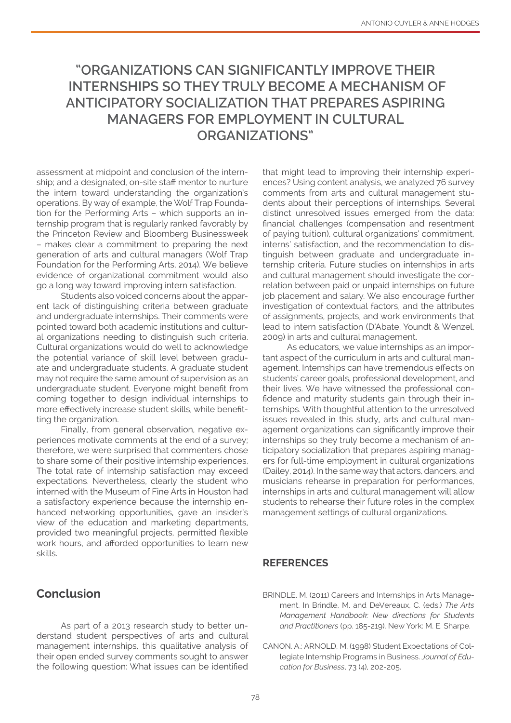# **"ORGANIZATIONS CAN SIGNIFICANTLY IMPROVE THEIR INTERNSHIPS SO THEY TRULY BECOME A MECHANISM OF ANTICIPATORY SOCIALIZATION THAT PREPARES ASPIRING MANAGERS FOR EMPLOYMENT IN CULTURAL ORGANIZATIONS"**

assessment at midpoint and conclusion of the internship; and a designated, on-site staff mentor to nurture the intern toward understanding the organization's operations. By way of example, the Wolf Trap Foundation for the Performing Arts – which supports an internship program that is regularly ranked favorably by the Princeton Review and Bloomberg Businessweek – makes clear a commitment to preparing the next generation of arts and cultural managers (Wolf Trap Foundation for the Performing Arts, 2014). We believe evidence of organizational commitment would also go a long way toward improving intern satisfaction.

Students also voiced concerns about the apparent lack of distinguishing criteria between graduate and undergraduate internships. Their comments were pointed toward both academic institutions and cultural organizations needing to distinguish such criteria. Cultural organizations would do well to acknowledge the potential variance of skill level between graduate and undergraduate students. A graduate student may not require the same amount of supervision as an undergraduate student. Everyone might benefit from coming together to design individual internships to more effectively increase student skills, while benefitting the organization.

Finally, from general observation, negative experiences motivate comments at the end of a survey; therefore, we were surprised that commenters chose to share some of their positive internship experiences. The total rate of internship satisfaction may exceed expectations. Nevertheless, clearly the student who interned with the Museum of Fine Arts in Houston had a satisfactory experience because the internship enhanced networking opportunities, gave an insider's view of the education and marketing departments, provided two meaningful projects, permitted flexible work hours, and afforded opportunities to learn new skills.

that might lead to improving their internship experiences? Using content analysis, we analyzed 76 survey comments from arts and cultural management students about their perceptions of internships. Several distinct unresolved issues emerged from the data: financial challenges (compensation and resentment of paying tuition), cultural organizations' commitment, interns' satisfaction, and the recommendation to distinguish between graduate and undergraduate internship criteria. Future studies on internships in arts and cultural management should investigate the correlation between paid or unpaid internships on future job placement and salary. We also encourage further investigation of contextual factors, and the attributes of assignments, projects, and work environments that lead to intern satisfaction (D'Abate, Youndt & Wenzel, 2009) in arts and cultural management.

As educators, we value internships as an important aspect of the curriculum in arts and cultural management. Internships can have tremendous effects on students' career goals, professional development, and their lives. We have witnessed the professional confidence and maturity students gain through their internships. With thoughtful attention to the unresolved issues revealed in this study, arts and cultural management organizations can significantly improve their internships so they truly become a mechanism of anticipatory socialization that prepares aspiring managers for full-time employment in cultural organizations (Dailey, 2014). In the same way that actors, dancers, and musicians rehearse in preparation for performances, internships in arts and cultural management will allow students to rehearse their future roles in the complex management settings of cultural organizations.

# **REFERENCES**

- BRINDLE, M. (2011) Careers and Internships in Arts Management. In Brindle, M. and DeVereaux, C. (eds.) *The Arts Management Handbook: New directions for Students and Practitioners* (pp. 185-219). New York: M. E. Sharpe.
- CANON, A.; ARNOLD, M. (1998) Student Expectations of Collegiate Internship Programs in Business. *Journal of Education for Business*, 73 (4), 202-205.

# **Conclusion**

As part of a 2013 research study to better understand student perspectives of arts and cultural management internships, this qualitative analysis of their open ended survey comments sought to answer the following question: What issues can be identified